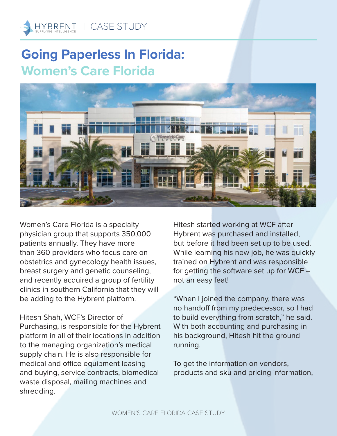

## **Going Paperless In Florida: Women's Care Florida**



Women's Care Florida is a specialty physician group that supports 350,000 patients annually. They have more than 360 providers who focus care on obstetrics and gynecology health issues, breast surgery and genetic counseling, and recently acquired a group of fertility clinics in southern California that they will be adding to the Hybrent platform.

Hitesh Shah, WCF's Director of Purchasing, is responsible for the Hybrent platform in all of their locations in addition to the managing organization's medical supply chain. He is also responsible for medical and office equipment leasing and buying, service contracts, biomedical waste disposal, mailing machines and shredding.

Hitesh started working at WCF after Hybrent was purchased and installed, but before it had been set up to be used. While learning his new job, he was quickly trained on Hybrent and was responsible for getting the software set up for WCF not an easy feat!

"When I joined the company, there was no handoff from my predecessor, so I had to build everything from scratch," he said. With both accounting and purchasing in his background, Hitesh hit the ground running.

To get the information on vendors, products and sku and pricing information,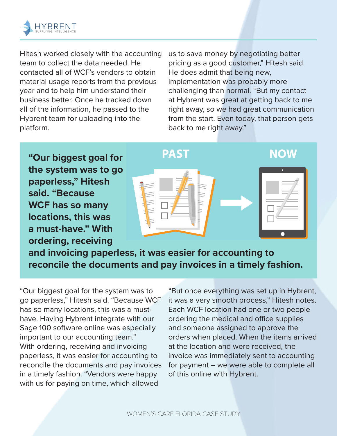

Hitesh worked closely with the accounting team to collect the data needed. He contacted all of WCF's vendors to obtain material usage reports from the previous year and to help him understand their business better. Once he tracked down all of the information, he passed to the Hybrent team for uploading into the platform.

us to save money by negotiating better pricing as a good customer," Hitesh said. He does admit that being new, implementation was probably more challenging than normal. "But my contact at Hybrent was great at getting back to me right away, so we had great communication from the start. Even today, that person gets back to me right away."

**"Our biggest goal for the system was to go paperless," Hitesh said. "Because WCF has so many locations, this was a must-have." With ordering, receiving** 



**and invoicing paperless, it was easier for accounting to reconcile the documents and pay invoices in a timely fashion.** 

"Our biggest goal for the system was to go paperless," Hitesh said. "Because WCF has so many locations, this was a musthave. Having Hybrent integrate with our Sage 100 software online was especially important to our accounting team." With ordering, receiving and invoicing paperless, it was easier for accounting to reconcile the documents and pay invoices in a timely fashion. "Vendors were happy with us for paying on time, which allowed

"But once everything was set up in Hybrent, it was a very smooth process," Hitesh notes. Each WCF location had one or two people ordering the medical and office supplies and someone assigned to approve the orders when placed. When the items arrived at the location and were received, the invoice was immediately sent to accounting for payment – we were able to complete all of this online with Hybrent.